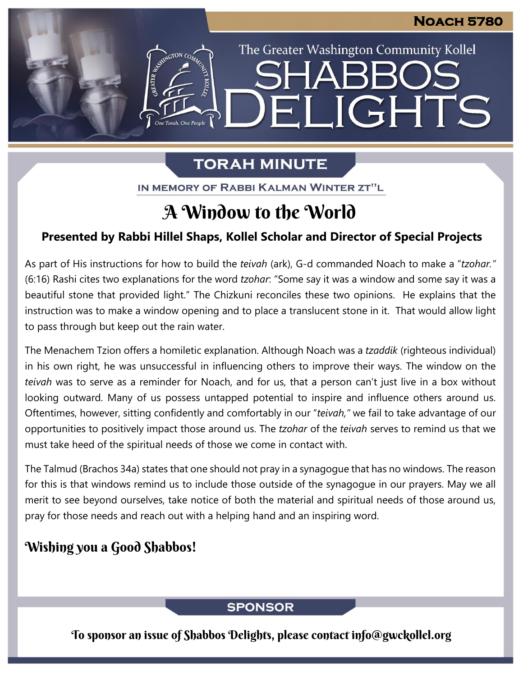The Greater Washington Community Kollel

ELIGHTS

# **TORAH MINUTE**

IN MEMORY OF RABBI KALMAN WINTER ZT"L

# A Window to the World

## **Presented by Rabbi Hillel Shaps, Kollel Scholar and Director of Special Projects**

As part of His instructions for how to build the *teivah* (ark), G-d commanded Noach to make a "*tzohar."* (6:16) Rashi cites two explanations for the word *tzohar*: "Some say it was a window and some say it was a beautiful stone that provided light." The Chizkuni reconciles these two opinions. He explains that the instruction was to make a window opening and to place a translucent stone in it. That would allow light to pass through but keep out the rain water.

The Menachem Tzion offers a homiletic explanation. Although Noach was a *tzaddik* (righteous individual) in his own right, he was unsuccessful in influencing others to improve their ways. The window on the *teivah* was to serve as a reminder for Noach, and for us, that a person can't just live in a box without looking outward. Many of us possess untapped potential to inspire and influence others around us. Oftentimes, however, sitting confidently and comfortably in our "*teivah,"* we fail to take advantage of our opportunities to positively impact those around us. The *tzohar* of the *teivah* serves to remind us that we must take heed of the spiritual needs of those we come in contact with.

The Talmud (Brachos 34a) states that one should not pray in a synagogue that has no windows. The reason for this is that windows remind us to include those outside of the synagogue in our prayers. May we all merit to see beyond ourselves, take notice of both the material and spiritual needs of those around us, pray for those needs and reach out with a helping hand and an inspiring word.

# Wishing you a Good Shabbos!

## **SPONSOR**

To sponsor an issue of Shabbos Delights, please contact info@gwckollel.org